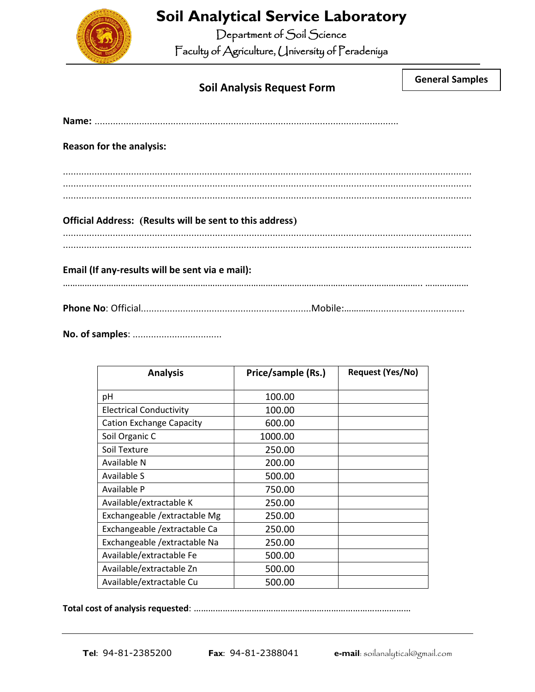

## **Soil Analytical Service Laboratory**

Department of Soil Science Faculty of Agriculture, University of Peradeniya

**General Samples**

| <b>Reason for the analysis:</b>                          |  |
|----------------------------------------------------------|--|
|                                                          |  |
|                                                          |  |
| Official Address: (Results will be sent to this address) |  |
|                                                          |  |
| Email (If any-results will be sent via e mail):          |  |
|                                                          |  |
|                                                          |  |

**No. of samples**: ..................................

| <b>Analysis</b>                 | Price/sample (Rs.) | Request (Yes/No) |
|---------------------------------|--------------------|------------------|
| рH                              | 100.00             |                  |
| <b>Electrical Conductivity</b>  | 100.00             |                  |
| <b>Cation Exchange Capacity</b> | 600.00             |                  |
| Soil Organic C                  | 1000.00            |                  |
| Soil Texture                    | 250.00             |                  |
| Available N                     | 200.00             |                  |
| Available S                     | 500.00             |                  |
| Available P                     | 750.00             |                  |
| Available/extractable K         | 250.00             |                  |
| Exchangeable / extractable Mg   | 250.00             |                  |
| Exchangeable / extractable Ca   | 250.00             |                  |
| Exchangeable / extractable Na   | 250.00             |                  |
| Available/extractable Fe        | 500.00             |                  |
| Available/extractable Zn        | 500.00             |                  |
| Available/extractable Cu        | 500.00             |                  |

**Total cost of analysis requested**: ………………………………………………………………………………